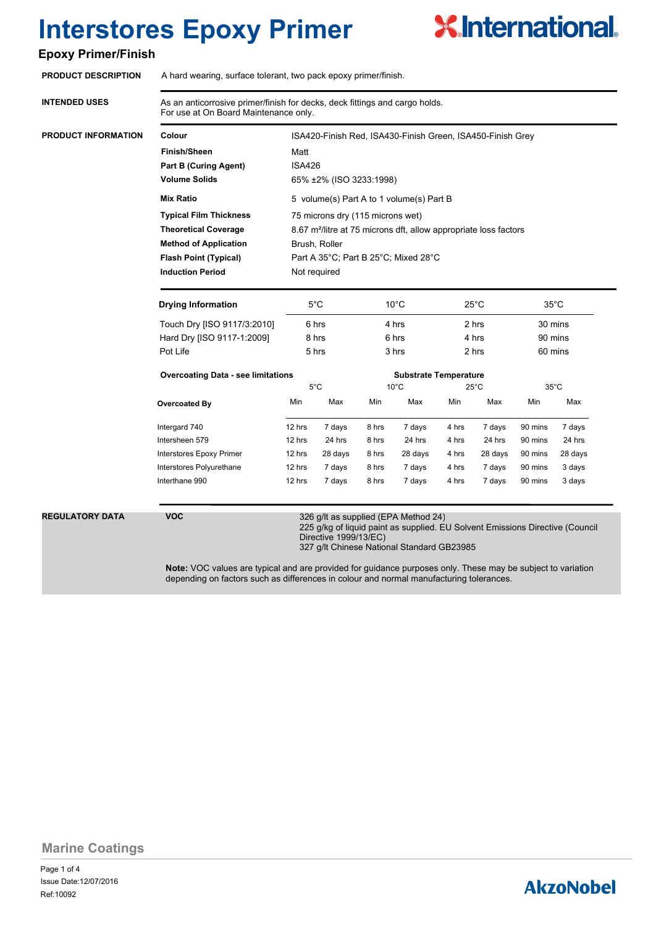# **X.International.**

## **Epoxy Primer/Finish**

|                                                                              |                                                                                                                       |       | ISA420-Finish Red, ISA430-Finish Green, ISA450-Finish Grey |                |                                                 |  |  |
|------------------------------------------------------------------------------|-----------------------------------------------------------------------------------------------------------------------|-------|------------------------------------------------------------|----------------|-------------------------------------------------|--|--|
|                                                                              | Matt                                                                                                                  |       |                                                            |                |                                                 |  |  |
|                                                                              | <b>ISA426</b>                                                                                                         |       |                                                            |                |                                                 |  |  |
| 65% ±2% (ISO 3233:1998)                                                      |                                                                                                                       |       |                                                            |                |                                                 |  |  |
| 5 volume(s) Part A to 1 volume(s) Part B                                     |                                                                                                                       |       |                                                            |                |                                                 |  |  |
| 75 microns dry (115 microns wet)                                             |                                                                                                                       |       |                                                            |                |                                                 |  |  |
| 8.67 m <sup>2</sup> /litre at 75 microns dft, allow appropriate loss factors |                                                                                                                       |       |                                                            |                |                                                 |  |  |
| Brush, Roller                                                                |                                                                                                                       |       |                                                            |                |                                                 |  |  |
| Part A 35°C; Part B 25°C; Mixed 28°C                                         |                                                                                                                       |       |                                                            |                |                                                 |  |  |
| Not required                                                                 |                                                                                                                       |       |                                                            |                |                                                 |  |  |
| $5^{\circ}$ C                                                                | $10^{\circ}$ C<br>4 hrs<br>6 hrs<br>3 hrs                                                                             |       | $25^{\circ}$ C<br>2 hrs<br>4 hrs<br>2 hrs                  |                | $35^{\circ}$ C<br>30 mins<br>90 mins<br>60 mins |  |  |
| 6 hrs                                                                        |                                                                                                                       |       |                                                            |                |                                                 |  |  |
| 8 hrs                                                                        |                                                                                                                       |       |                                                            |                |                                                 |  |  |
| 5 hrs                                                                        |                                                                                                                       |       |                                                            |                |                                                 |  |  |
|                                                                              | <b>Substrate Temperature</b>                                                                                          |       |                                                            |                |                                                 |  |  |
| $5^{\circ}$ C                                                                | $10^{\circ}$ C                                                                                                        |       | $25^{\circ}$ C                                             | $35^{\circ}$ C |                                                 |  |  |
| Max<br>Min                                                                   | Max                                                                                                                   | Min   | Max                                                        | Min            | Max                                             |  |  |
| 7 days<br>8 hrs                                                              | 7 days                                                                                                                | 4 hrs | 7 days                                                     | 90 mins        | 7 days                                          |  |  |
| 24 hrs<br>8 hrs                                                              | 24 hrs                                                                                                                | 4 hrs | 24 hrs                                                     | 90 mins        | 24 hrs                                          |  |  |
| 28 days<br>8 hrs                                                             | 28 days                                                                                                               | 4 hrs | 28 days                                                    | 90 mins        | 28 days                                         |  |  |
| 7 days<br>8 hrs                                                              | 7 days                                                                                                                | 4 hrs | 7 days                                                     | 90 mins        | 3 days                                          |  |  |
|                                                                              | 7 days                                                                                                                | 4 hrs | 7 days                                                     | 90 mins        | 3 days                                          |  |  |
| 7 days<br>8 hrs                                                              |                                                                                                                       |       |                                                            |                |                                                 |  |  |
|                                                                              | 326 g/lt as supplied (EPA Method 24)<br>225 g/kg of liquid paint as supplied. EU Solvent Emissions Directive (Council |       |                                                            |                |                                                 |  |  |

Directive 1999/13/EC) 327 g/lt Chinese National Standard GB23985

**Note:** VOC values are typical and are provided for guidance purposes only. These may be subject to variation depending on factors such as differences in colour and normal manufacturing tolerances.

**Marine Coatings**

Page 1 of 4 Ref:10092 Issue Date:12/07/2016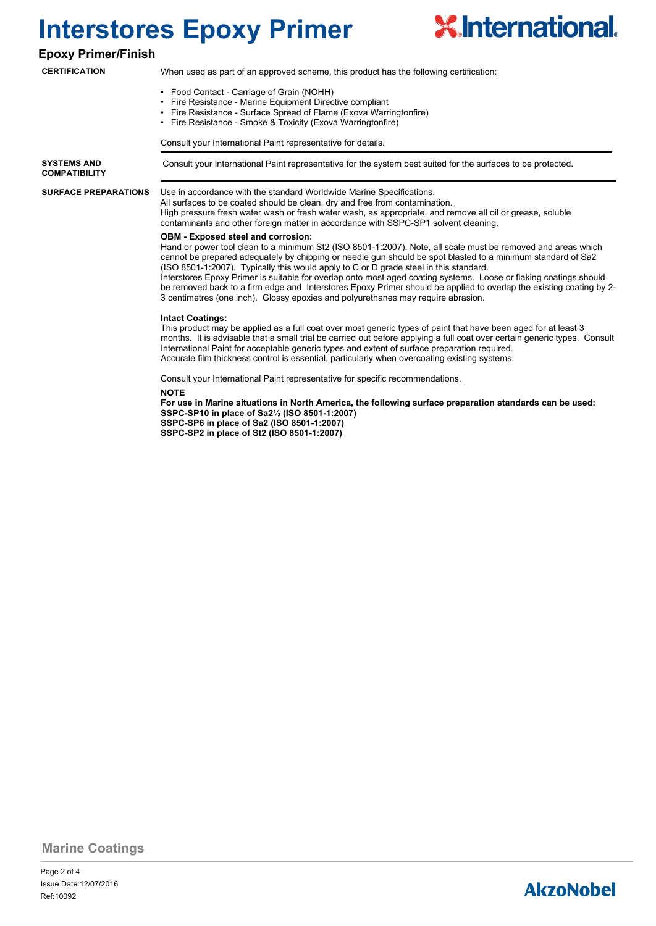

**Epoxy Primer/Finish**

### **CERTIFICATION**

- When used as part of an approved scheme, this product has the following certification:
- Food Contact Carriage of Grain (NOHH)
- Fire Resistance Marine Equipment Directive compliant
- Fire Resistance Surface Spread of Flame (Exova Warringtonfire)
- Fire Resistance Smoke & Toxicity (Exova Warringtonfire)

Consult your International Paint representative for details.

**SYSTEMS AND** Consult your International Paint representative for the system best suited for the surfaces to be protected. **COMPATIBILITY**

#### Use in accordance with the standard Worldwide Marine Specifications. **SURFACE PREPARATIONS**

All surfaces to be coated should be clean, dry and free from contamination. High pressure fresh water wash or fresh water wash, as appropriate, and remove all oil or grease, soluble contaminants and other foreign matter in accordance with SSPC-SP1 solvent cleaning.

### **OBM - Exposed steel and corrosion:**

Hand or power tool clean to a minimum St2 (ISO 8501-1:2007). Note, all scale must be removed and areas which cannot be prepared adequately by chipping or needle gun should be spot blasted to a minimum standard of Sa2 (ISO 8501-1:2007). Typically this would apply to C or D grade steel in this standard. Interstores Epoxy Primer is suitable for overlap onto most aged coating systems. Loose or flaking coatings should be removed back to a firm edge and Interstores Epoxy Primer should be applied to overlap the existing coating by 2-3 centimetres (one inch). Glossy epoxies and polyurethanes may require abrasion.

#### **Intact Coatings:**

This product may be applied as a full coat over most generic types of paint that have been aged for at least 3 months. It is advisable that a small trial be carried out before applying a full coat over certain generic types. Consult International Paint for acceptable generic types and extent of surface preparation required. Accurate film thickness control is essential, particularly when overcoating existing systems.

Consult your International Paint representative for specific recommendations.

#### **NOTE**

**For use in Marine situations in North America, the following surface preparation standards can be used: SSPC-SP10 in place of Sa2½ (ISO 8501-1:2007) SSPC-SP6 in place of Sa2 (ISO 8501-1:2007) SSPC-SP2 in place of St2 (ISO 8501-1:2007)**

### **Marine Coatings**

Page 2 of 4 Ref:10092 Issue Date:12/07/2016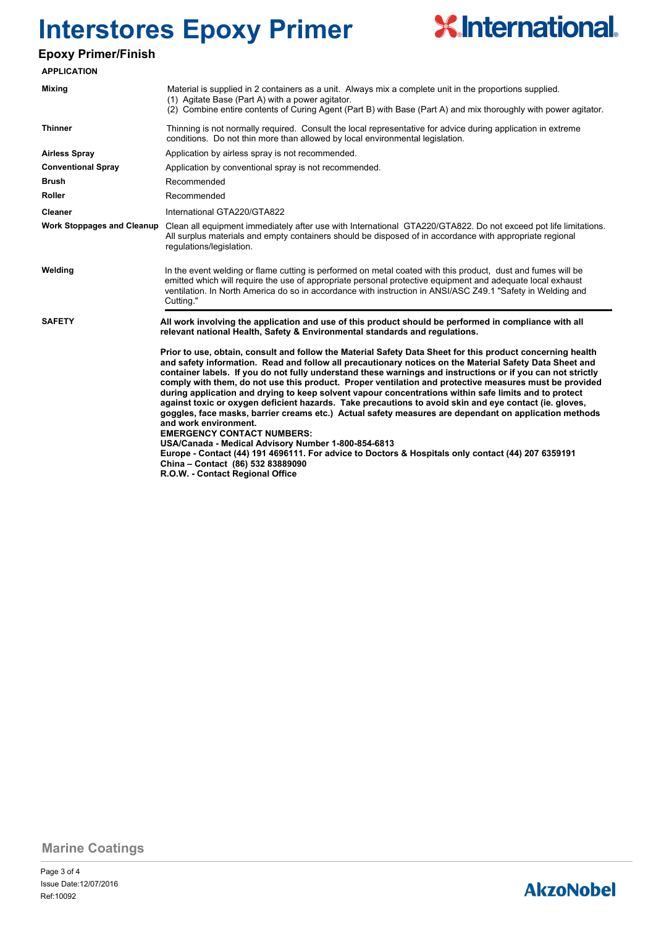

## **Epoxy Primer/Finish**

| <b>APPLICATION</b>                |                                                                                                                                                                                                                                                                                                                                                                                                                                                                                                                                                                                                                                                                                                                                                                                                                                                                                                                                                                                                                                                                                |  |  |  |  |  |  |
|-----------------------------------|--------------------------------------------------------------------------------------------------------------------------------------------------------------------------------------------------------------------------------------------------------------------------------------------------------------------------------------------------------------------------------------------------------------------------------------------------------------------------------------------------------------------------------------------------------------------------------------------------------------------------------------------------------------------------------------------------------------------------------------------------------------------------------------------------------------------------------------------------------------------------------------------------------------------------------------------------------------------------------------------------------------------------------------------------------------------------------|--|--|--|--|--|--|
| <b>Mixing</b>                     | Material is supplied in 2 containers as a unit. Always mix a complete unit in the proportions supplied.<br>(1) Agitate Base (Part A) with a power agitator.<br>(2) Combine entire contents of Curing Agent (Part B) with Base (Part A) and mix thoroughly with power agitator.                                                                                                                                                                                                                                                                                                                                                                                                                                                                                                                                                                                                                                                                                                                                                                                                 |  |  |  |  |  |  |
| <b>Thinner</b>                    | Thinning is not normally required. Consult the local representative for advice during application in extreme<br>conditions. Do not thin more than allowed by local environmental legislation.                                                                                                                                                                                                                                                                                                                                                                                                                                                                                                                                                                                                                                                                                                                                                                                                                                                                                  |  |  |  |  |  |  |
| <b>Airless Spray</b>              | Application by airless spray is not recommended.                                                                                                                                                                                                                                                                                                                                                                                                                                                                                                                                                                                                                                                                                                                                                                                                                                                                                                                                                                                                                               |  |  |  |  |  |  |
| <b>Conventional Spray</b>         | Application by conventional spray is not recommended.                                                                                                                                                                                                                                                                                                                                                                                                                                                                                                                                                                                                                                                                                                                                                                                                                                                                                                                                                                                                                          |  |  |  |  |  |  |
| <b>Brush</b>                      | Recommended                                                                                                                                                                                                                                                                                                                                                                                                                                                                                                                                                                                                                                                                                                                                                                                                                                                                                                                                                                                                                                                                    |  |  |  |  |  |  |
| <b>Roller</b>                     | Recommended                                                                                                                                                                                                                                                                                                                                                                                                                                                                                                                                                                                                                                                                                                                                                                                                                                                                                                                                                                                                                                                                    |  |  |  |  |  |  |
| Cleaner                           | International GTA220/GTA822                                                                                                                                                                                                                                                                                                                                                                                                                                                                                                                                                                                                                                                                                                                                                                                                                                                                                                                                                                                                                                                    |  |  |  |  |  |  |
| <b>Work Stoppages and Cleanup</b> | Clean all equipment immediately after use with International GTA220/GTA822. Do not exceed pot life limitations.<br>All surplus materials and empty containers should be disposed of in accordance with appropriate regional<br>regulations/legislation.                                                                                                                                                                                                                                                                                                                                                                                                                                                                                                                                                                                                                                                                                                                                                                                                                        |  |  |  |  |  |  |
| Welding                           | In the event welding or flame cutting is performed on metal coated with this product, dust and fumes will be<br>emitted which will require the use of appropriate personal protective equipment and adequate local exhaust<br>ventilation. In North America do so in accordance with instruction in ANSI/ASC Z49.1 "Safety in Welding and<br>Cutting."                                                                                                                                                                                                                                                                                                                                                                                                                                                                                                                                                                                                                                                                                                                         |  |  |  |  |  |  |
| <b>SAFETY</b>                     | All work involving the application and use of this product should be performed in compliance with all<br>relevant national Health, Safety & Environmental standards and regulations.                                                                                                                                                                                                                                                                                                                                                                                                                                                                                                                                                                                                                                                                                                                                                                                                                                                                                           |  |  |  |  |  |  |
|                                   | Prior to use, obtain, consult and follow the Material Safety Data Sheet for this product concerning health<br>and safety information. Read and follow all precautionary notices on the Material Safety Data Sheet and<br>container labels. If you do not fully understand these warnings and instructions or if you can not strictly<br>comply with them, do not use this product. Proper ventilation and protective measures must be provided<br>during application and drying to keep solvent vapour concentrations within safe limits and to protect<br>against toxic or oxygen deficient hazards. Take precautions to avoid skin and eye contact (ie. gloves,<br>goggles, face masks, barrier creams etc.) Actual safety measures are dependant on application methods<br>and work environment.<br><b>EMERGENCY CONTACT NUMBERS:</b><br>USA/Canada - Medical Advisory Number 1-800-854-6813<br>Europe - Contact (44) 191 4696111. For advice to Doctors & Hospitals only contact (44) 207 6359191<br>China - Contact (86) 532 83889090<br>R.O.W. - Contact Regional Office |  |  |  |  |  |  |

**Marine Coatings**